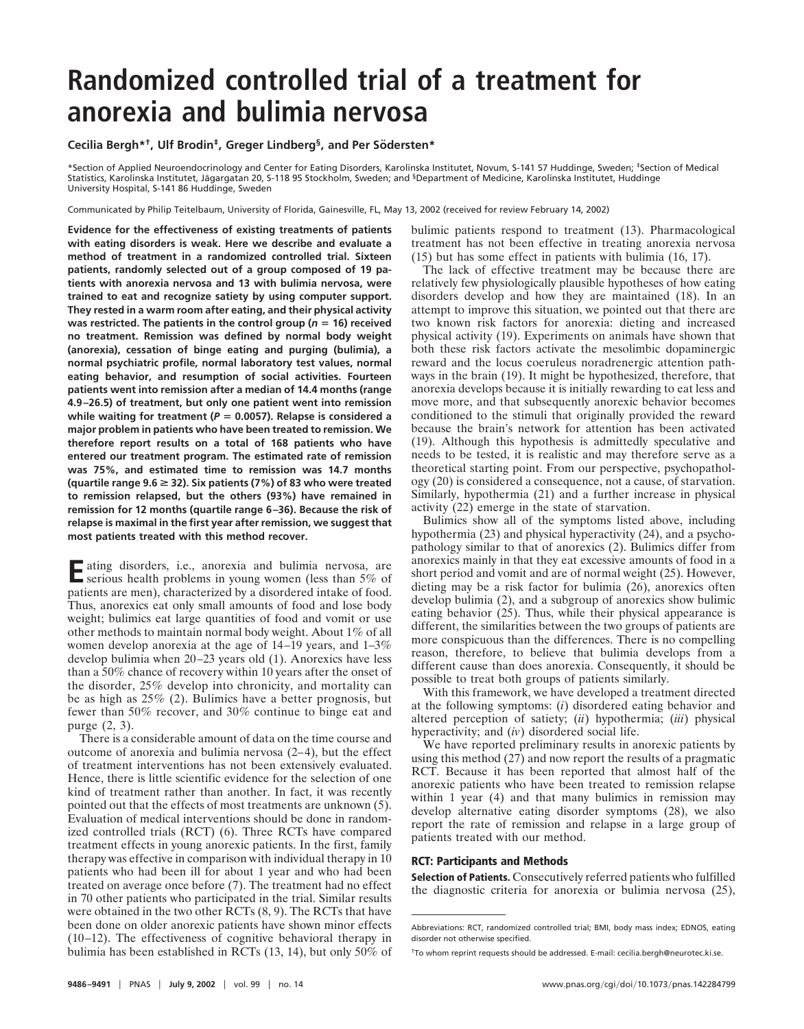# **Randomized controlled trial of a treatment for anorexia and bulimia nervosa**

**Cecilia Bergh\*<sup>†</sup>, Ulf Brodin<sup>‡</sup>, Greger Lindberg<sup>§</sup>, and Per Södersten\*** 

\*Section of Applied Neuroendocrinology and Center for Eating Disorders, Karolinska Institutet, Novum, S-141 57 Huddinge, Sweden; ‡Section of Medical Statistics, Karolinska Institutet, Jägargatan 20, S-118 95 Stockholm, Sweden; and <sup>§</sup>Department of Medicine, Karolinska Institutet, Huddinge University Hospital, S-141 86 Huddinge, Sweden

Communicated by Philip Teitelbaum, University of Florida, Gainesville, FL, May 13, 2002 (received for review February 14, 2002)

**Evidence for the effectiveness of existing treatments of patients with eating disorders is weak. Here we describe and evaluate a method of treatment in a randomized controlled trial. Sixteen patients, randomly selected out of a group composed of 19 patients with anorexia nervosa and 13 with bulimia nervosa, were trained to eat and recognize satiety by using computer support. They rested in a warm room after eating, and their physical activity** was restricted. The patients in the control group ( $n = 16$ ) received **no treatment. Remission was defined by normal body weight (anorexia), cessation of binge eating and purging (bulimia), a normal psychiatric profile, normal laboratory test values, normal eating behavior, and resumption of social activities. Fourteen patients went into remission after a median of 14.4 months (range 4.9–26.5) of treatment, but only one patient went into remission** while waiting for treatment ( $P = 0.0057$ ). Relapse is considered a **major problem in patients who have been treated to remission. We therefore report results on a total of 168 patients who have entered our treatment program. The estimated rate of remission was 75%, and estimated time to remission was 14.7 months (quartile range 9.6** > **32). Six patients (7%) of 83 who were treated to remission relapsed, but the others (93%) have remained in remission for 12 months (quartile range 6–36). Because the risk of relapse is maximal in the first year after remission, we suggest that most patients treated with this method recover.**

Eating disorders, i.e., anorexia and bulimia nervosa, are serious health problems in young women (less than 5% of patients are men), characterized by a disordered intake of food. Thus, anorexics eat only small amounts of food and lose body weight; bulimics eat large quantities of food and vomit or use other methods to maintain normal body weight. About 1% of all women develop anorexia at the age of 14–19 years, and 1–3% develop bulimia when 20–23 years old (1). Anorexics have less than a 50% chance of recovery within 10 years after the onset of the disorder, 25% develop into chronicity, and mortality can be as high as 25% (2). Bulimics have a better prognosis, but fewer than 50% recover, and 30% continue to binge eat and purge (2, 3).

There is a considerable amount of data on the time course and outcome of anorexia and bulimia nervosa (2–4), but the effect of treatment interventions has not been extensively evaluated. Hence, there is little scientific evidence for the selection of one kind of treatment rather than another. In fact, it was recently pointed out that the effects of most treatments are unknown (5). Evaluation of medical interventions should be done in randomized controlled trials (RCT) (6). Three RCTs have compared treatment effects in young anorexic patients. In the first, family therapy was effective in comparison with individual therapy in 10 patients who had been ill for about 1 year and who had been treated on average once before (7). The treatment had no effect in 70 other patients who participated in the trial. Similar results were obtained in the two other RCTs (8, 9). The RCTs that have been done on older anorexic patients have shown minor effects (10–12). The effectiveness of cognitive behavioral therapy in bulimia has been established in RCTs (13, 14), but only 50% of bulimic patients respond to treatment (13). Pharmacological treatment has not been effective in treating anorexia nervosa (15) but has some effect in patients with bulimia (16, 17).

The lack of effective treatment may be because there are relatively few physiologically plausible hypotheses of how eating disorders develop and how they are maintained (18). In an attempt to improve this situation, we pointed out that there are two known risk factors for anorexia: dieting and increased physical activity (19). Experiments on animals have shown that both these risk factors activate the mesolimbic dopaminergic reward and the locus coeruleus noradrenergic attention pathways in the brain (19). It might be hypothesized, therefore, that anorexia develops because it is initially rewarding to eat less and move more, and that subsequently anorexic behavior becomes conditioned to the stimuli that originally provided the reward because the brain's network for attention has been activated (19). Although this hypothesis is admittedly speculative and needs to be tested, it is realistic and may therefore serve as a theoretical starting point. From our perspective, psychopathology (20) is considered a consequence, not a cause, of starvation. Similarly, hypothermia (21) and a further increase in physical activity (22) emerge in the state of starvation.

Bulimics show all of the symptoms listed above, including hypothermia (23) and physical hyperactivity (24), and a psychopathology similar to that of anorexics (2). Bulimics differ from anorexics mainly in that they eat excessive amounts of food in a short period and vomit and are of normal weight (25). However, dieting may be a risk factor for bulimia (26), anorexics often develop bulimia (2), and a subgroup of anorexics show bulimic eating behavior (25). Thus, while their physical appearance is different, the similarities between the two groups of patients are more conspicuous than the differences. There is no compelling reason, therefore, to believe that bulimia develops from a different cause than does anorexia. Consequently, it should be possible to treat both groups of patients similarly.

With this framework, we have developed a treatment directed at the following symptoms: (*i*) disordered eating behavior and altered perception of satiety; (*ii*) hypothermia; (*iii*) physical hyperactivity; and (*iv*) disordered social life.

We have reported preliminary results in anorexic patients by using this method  $(27)$  and now report the results of a pragmatic RCT. Because it has been reported that almost half of the anorexic patients who have been treated to remission relapse within 1 year (4) and that many bulimics in remission may develop alternative eating disorder symptoms (28), we also report the rate of remission and relapse in a large group of patients treated with our method.

# **RCT: Participants and Methods**

**Selection of Patients.** Consecutively referred patients who fulfilled the diagnostic criteria for anorexia or bulimia nervosa (25),

Abbreviations: RCT, randomized controlled trial; BMI, body mass index; EDNOS, eating disorder not otherwise specified.

<sup>†</sup>To whom reprint requests should be addressed. E-mail: cecilia.bergh@neurotec.ki.se.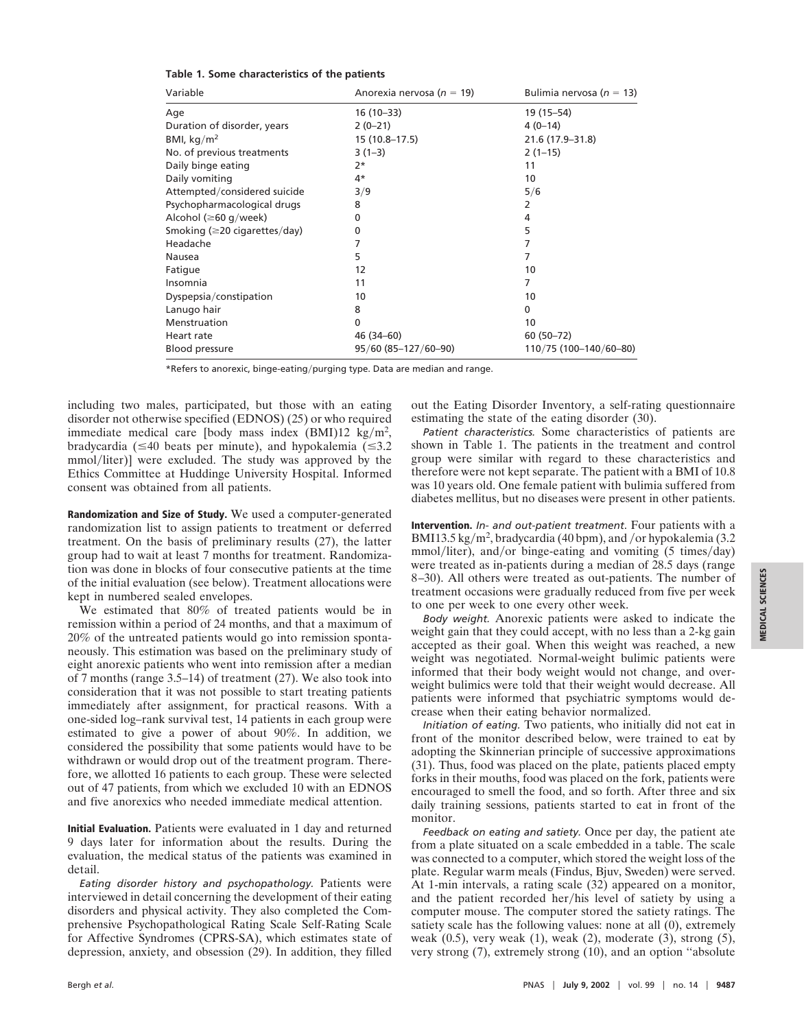| Variable                            | Anorexia nervosa ( $n = 19$ ) | Bulimia nervosa ( $n = 13$ ) |
|-------------------------------------|-------------------------------|------------------------------|
| Age                                 | 16 (10-33)                    | 19 (15–54)                   |
| Duration of disorder, years         | $2(0-21)$                     | $4(0-14)$                    |
| BMI, $kg/m2$                        | 15 (10.8-17.5)                | 21.6 (17.9-31.8)             |
| No. of previous treatments          | $3(1-3)$                      | $2(1-15)$                    |
| Daily binge eating                  | $2*$                          | 11                           |
| Daily vomiting                      | 4*                            | 10                           |
| Attempted/considered suicide        | 3/9                           | 5/6                          |
| Psychopharmacological drugs         | 8                             | 2                            |
| Alcohol ( $\geq 60$ g/week)         | 0                             | 4                            |
| Smoking ( $\geq$ 20 cigarettes/day) | 0                             | 5                            |
| Headache                            | 7                             | 7                            |
| Nausea                              | 5                             | 7                            |
| Fatigue                             | 12                            | 10                           |
| Insomnia                            | 11                            | 7                            |
| Dyspepsia/constipation              | 10                            | 10                           |
| Lanugo hair                         | 8                             | 0                            |
| Menstruation                        | $\mathbf{0}$                  | 10                           |
| Heart rate                          | 46 (34-60)                    | 60 (50 - 72)                 |
| Blood pressure                      | 95/60 (85-127/60-90)          | 110/75 (100-140/60-80)       |

#### **Table 1. Some characteristics of the patients**

\*Refers to anorexic, binge-eating/purging type. Data are median and range.

including two males, participated, but those with an eating disorder not otherwise specified (EDNOS) (25) or who required immediate medical care [body mass index  $(BMI)12 \text{ kg/m}^2$ , bradycardia ( $\leq 40$  beats per minute), and hypokalemia ( $\leq 3.2$ ) mmol/liter)] were excluded. The study was approved by the Ethics Committee at Huddinge University Hospital. Informed consent was obtained from all patients.

**Randomization and Size of Study.** We used a computer-generated randomization list to assign patients to treatment or deferred treatment. On the basis of preliminary results (27), the latter group had to wait at least 7 months for treatment. Randomization was done in blocks of four consecutive patients at the time of the initial evaluation (see below). Treatment allocations were kept in numbered sealed envelopes.

We estimated that 80% of treated patients would be in remission within a period of 24 months, and that a maximum of 20% of the untreated patients would go into remission spontaneously. This estimation was based on the preliminary study of eight anorexic patients who went into remission after a median of 7 months (range 3.5–14) of treatment (27). We also took into consideration that it was not possible to start treating patients immediately after assignment, for practical reasons. With a one-sided log–rank survival test, 14 patients in each group were estimated to give a power of about 90%. In addition, we considered the possibility that some patients would have to be withdrawn or would drop out of the treatment program. Therefore, we allotted 16 patients to each group. These were selected out of 47 patients, from which we excluded 10 with an EDNOS and five anorexics who needed immediate medical attention.

**Initial Evaluation.** Patients were evaluated in 1 day and returned 9 days later for information about the results. During the evaluation, the medical status of the patients was examined in detail.

*Eating disorder history and psychopathology.* Patients were interviewed in detail concerning the development of their eating disorders and physical activity. They also completed the Comprehensive Psychopathological Rating Scale Self-Rating Scale for Affective Syndromes (CPRS-SA), which estimates state of depression, anxiety, and obsession (29). In addition, they filled

out the Eating Disorder Inventory, a self-rating questionnaire estimating the state of the eating disorder (30).

*Patient characteristics.* Some characteristics of patients are shown in Table 1. The patients in the treatment and control group were similar with regard to these characteristics and therefore were not kept separate. The patient with a BMI of 10.8 was 10 years old. One female patient with bulimia suffered from diabetes mellitus, but no diseases were present in other patients.

**Intervention.** *In- and out-patient treatment*. Four patients with a BMI13.5 kg/m<sup>2</sup>, bradycardia (40 bpm), and /or hypokalemia (3.2)  $mmol/liter$ ), and/or binge-eating and vomiting (5 times/day) were treated as in-patients during a median of 28.5 days (range 8–30). All others were treated as out-patients. The number of treatment occasions were gradually reduced from five per week to one per week to one every other week.

*Body weight.* Anorexic patients were asked to indicate the weight gain that they could accept, with no less than a 2-kg gain accepted as their goal. When this weight was reached, a new weight was negotiated. Normal-weight bulimic patients were informed that their body weight would not change, and overweight bulimics were told that their weight would decrease. All patients were informed that psychiatric symptoms would decrease when their eating behavior normalized.

*Initiation of eating.* Two patients, who initially did not eat in front of the monitor described below, were trained to eat by adopting the Skinnerian principle of successive approximations (31). Thus, food was placed on the plate, patients placed empty forks in their mouths, food was placed on the fork, patients were encouraged to smell the food, and so forth. After three and six daily training sessions, patients started to eat in front of the monitor.

*Feedback on eating and satiety.* Once per day, the patient ate from a plate situated on a scale embedded in a table. The scale was connected to a computer, which stored the weight loss of the plate. Regular warm meals (Findus, Bjuv, Sweden) were served. At 1-min intervals, a rating scale (32) appeared on a monitor, and the patient recorded her/his level of satiety by using a computer mouse. The computer stored the satiety ratings. The satiety scale has the following values: none at all (0), extremely weak (0.5), very weak (1), weak (2), moderate (3), strong (5), very strong (7), extremely strong (10), and an option ''absolute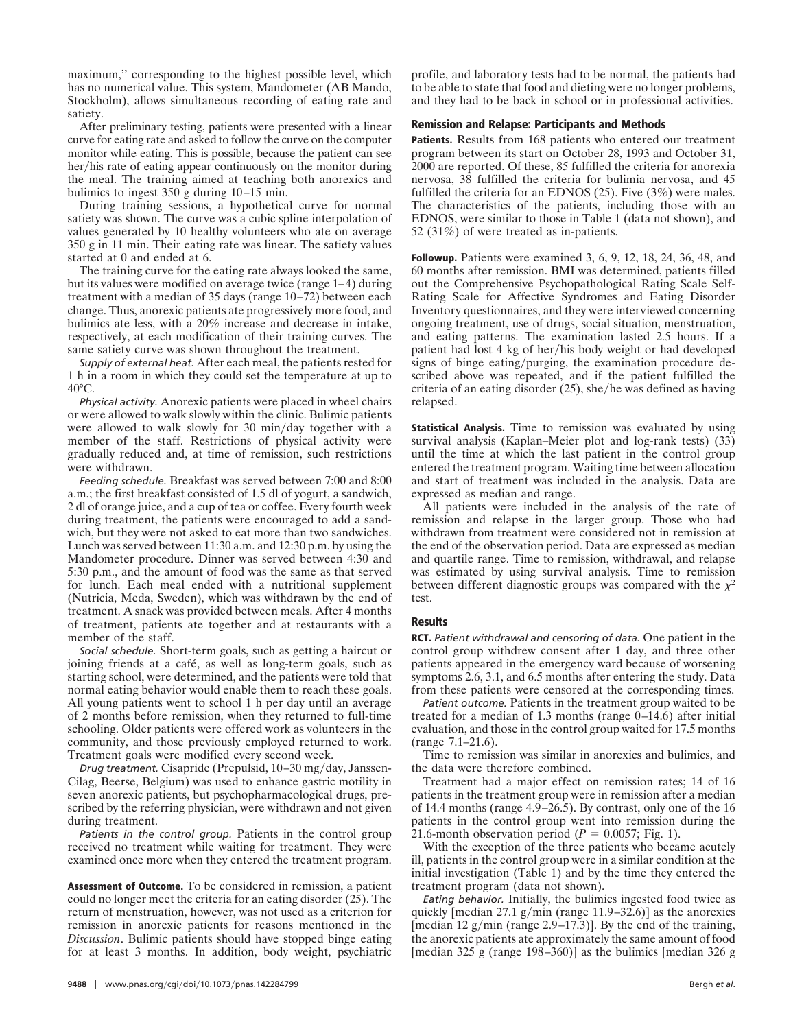maximum,'' corresponding to the highest possible level, which has no numerical value. This system, Mandometer (AB Mando, Stockholm), allows simultaneous recording of eating rate and satiety.

After preliminary testing, patients were presented with a linear curve for eating rate and asked to follow the curve on the computer monitor while eating. This is possible, because the patient can see her/his rate of eating appear continuously on the monitor during the meal. The training aimed at teaching both anorexics and bulimics to ingest 350 g during 10–15 min.

During training sessions, a hypothetical curve for normal satiety was shown. The curve was a cubic spline interpolation of values generated by 10 healthy volunteers who ate on average 350 g in 11 min. Their eating rate was linear. The satiety values started at 0 and ended at 6.

The training curve for the eating rate always looked the same, but its values were modified on average twice (range 1–4) during treatment with a median of 35 days (range 10–72) between each change. Thus, anorexic patients ate progressively more food, and bulimics ate less, with a 20% increase and decrease in intake, respectively, at each modification of their training curves. The same satiety curve was shown throughout the treatment.

*Supply of external heat.* After each meal, the patients rested for 1 h in a room in which they could set the temperature at up to  $40^{\circ}$ C.

*Physical activity.* Anorexic patients were placed in wheel chairs or were allowed to walk slowly within the clinic. Bulimic patients were allowed to walk slowly for 30 min/day together with a member of the staff. Restrictions of physical activity were gradually reduced and, at time of remission, such restrictions were withdrawn.

*Feeding schedule.* Breakfast was served between 7:00 and 8:00 a.m.; the first breakfast consisted of 1.5 dl of yogurt, a sandwich, 2 dl of orange juice, and a cup of tea or coffee. Every fourth week during treatment, the patients were encouraged to add a sandwich, but they were not asked to eat more than two sandwiches. Lunch was served between 11:30 a.m. and 12:30 p.m. by using the Mandometer procedure. Dinner was served between 4:30 and 5:30 p.m., and the amount of food was the same as that served for lunch. Each meal ended with a nutritional supplement (Nutricia, Meda, Sweden), which was withdrawn by the end of treatment. A snack was provided between meals. After 4 months of treatment, patients ate together and at restaurants with a member of the staff.

*Social schedule.* Short-term goals, such as getting a haircut or joining friends at a café, as well as long-term goals, such as starting school, were determined, and the patients were told that normal eating behavior would enable them to reach these goals. All young patients went to school 1 h per day until an average of 2 months before remission, when they returned to full-time schooling. Older patients were offered work as volunteers in the community, and those previously employed returned to work. Treatment goals were modified every second week.

*Drug treatment.* Cisapride (Prepulsid, 10–30 mg/day, Janssen-Cilag, Beerse, Belgium) was used to enhance gastric motility in seven anorexic patients, but psychopharmacological drugs, prescribed by the referring physician, were withdrawn and not given during treatment.

*Patients in the control group.* Patients in the control group received no treatment while waiting for treatment. They were examined once more when they entered the treatment program.

**Assessment of Outcome.** To be considered in remission, a patient could no longer meet the criteria for an eating disorder (25). The return of menstruation, however, was not used as a criterion for remission in anorexic patients for reasons mentioned in the *Discussion*. Bulimic patients should have stopped binge eating for at least 3 months. In addition, body weight, psychiatric

profile, and laboratory tests had to be normal, the patients had to be able to state that food and dieting were no longer problems, and they had to be back in school or in professional activities.

## **Remission and Relapse: Participants and Methods**

**Patients.** Results from 168 patients who entered our treatment program between its start on October 28, 1993 and October 31, 2000 are reported. Of these, 85 fulfilled the criteria for anorexia nervosa, 38 fulfilled the criteria for bulimia nervosa, and 45 fulfilled the criteria for an EDNOS (25). Five (3%) were males. The characteristics of the patients, including those with an EDNOS, were similar to those in Table 1 (data not shown), and 52 (31%) of were treated as in-patients.

**Followup.** Patients were examined 3, 6, 9, 12, 18, 24, 36, 48, and 60 months after remission. BMI was determined, patients filled out the Comprehensive Psychopathological Rating Scale Self-Rating Scale for Affective Syndromes and Eating Disorder Inventory questionnaires, and they were interviewed concerning ongoing treatment, use of drugs, social situation, menstruation, and eating patterns. The examination lasted 2.5 hours. If a patient had lost 4 kg of her/his body weight or had developed signs of binge eating/purging, the examination procedure described above was repeated, and if the patient fulfilled the criteria of an eating disorder  $(25)$ , she/he was defined as having relapsed.

**Statistical Analysis.** Time to remission was evaluated by using survival analysis (Kaplan–Meier plot and log-rank tests) (33) until the time at which the last patient in the control group entered the treatment program. Waiting time between allocation and start of treatment was included in the analysis. Data are expressed as median and range.

All patients were included in the analysis of the rate of remission and relapse in the larger group. Those who had withdrawn from treatment were considered not in remission at the end of the observation period. Data are expressed as median and quartile range. Time to remission, withdrawal, and relapse was estimated by using survival analysis. Time to remission between different diagnostic groups was compared with the  $\chi^2$ test.

## **Results**

**RCT.** *Patient withdrawal and censoring of data.* One patient in the control group withdrew consent after 1 day, and three other patients appeared in the emergency ward because of worsening symptoms 2.6, 3.1, and 6.5 months after entering the study. Data from these patients were censored at the corresponding times.

*Patient outcome.* Patients in the treatment group waited to be treated for a median of 1.3 months (range 0–14.6) after initial evaluation, and those in the control group waited for 17.5 months (range 7.1–21.6).

Time to remission was similar in anorexics and bulimics, and the data were therefore combined.

Treatment had a major effect on remission rates; 14 of 16 patients in the treatment group were in remission after a median of 14.4 months (range 4.9–26.5). By contrast, only one of the 16 patients in the control group went into remission during the 21.6-month observation period ( $P = 0.0057$ ; Fig. 1).

With the exception of the three patients who became acutely ill, patients in the control group were in a similar condition at the initial investigation (Table 1) and by the time they entered the treatment program (data not shown).

*Eating behavior.* Initially, the bulimics ingested food twice as quickly [median  $27.1$  g/min (range  $11.9-32.6$ )] as the anorexics [median 12 g/min (range 2.9–17.3)]. By the end of the training, the anorexic patients ate approximately the same amount of food [median 325 g (range 198–360)] as the bulimics [median 326 g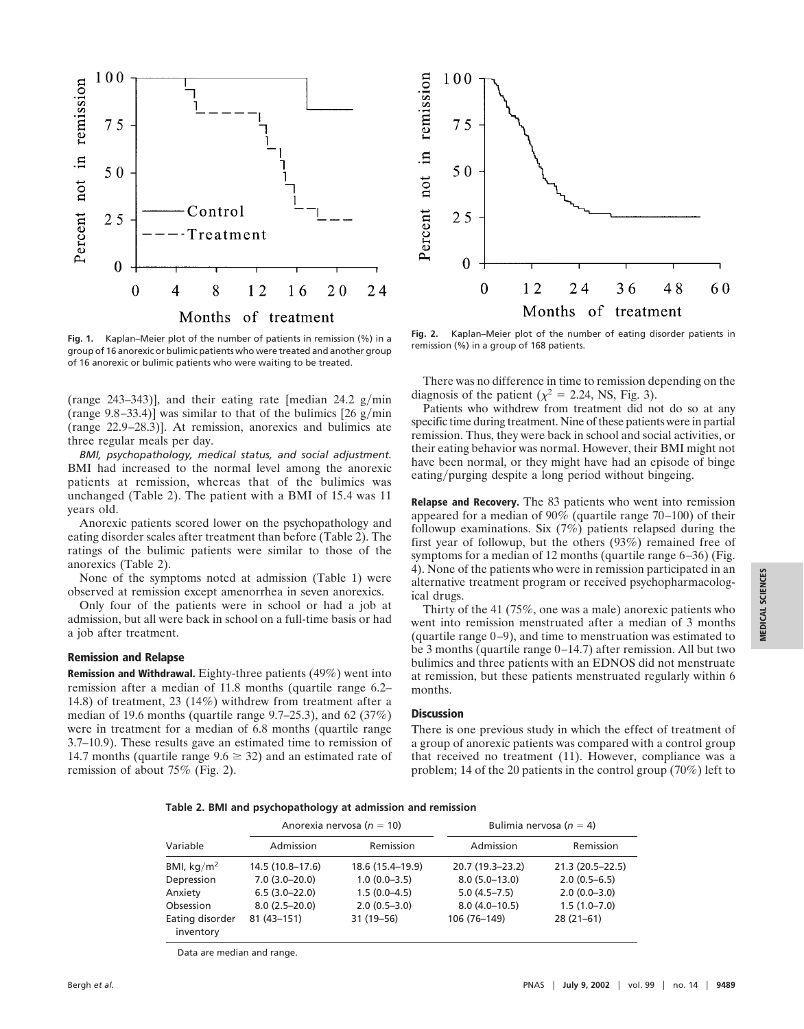



**Fig. 1.** Kaplan–Meier plot of the number of patients in remission (%) in a group of 16 anorexic or bulimic patients who were treated and another group of 16 anorexic or bulimic patients who were waiting to be treated.

(range  $243-343$ )], and their eating rate [median  $24.2$  g/min (range  $9.8-33.4$ )] was similar to that of the bulimics [26 g/min] (range 22.9–28.3)]. At remission, anorexics and bulimics ate three regular meals per day.

*BMI, psychopathology, medical status, and social adjustment.* BMI had increased to the normal level among the anorexic patients at remission, whereas that of the bulimics was unchanged (Table 2). The patient with a BMI of 15.4 was 11 years old.

Anorexic patients scored lower on the psychopathology and eating disorder scales after treatment than before (Table 2). The ratings of the bulimic patients were similar to those of the anorexics (Table 2).

None of the symptoms noted at admission (Table 1) were observed at remission except amenorrhea in seven anorexics.

Only four of the patients were in school or had a job at admission, but all were back in school on a full-time basis or had a job after treatment.

#### **Remission and Relapse**

**Remission and Withdrawal.** Eighty-three patients (49%) went into remission after a median of 11.8 months (quartile range 6.2– 14.8) of treatment, 23 (14%) withdrew from treatment after a median of 19.6 months (quartile range 9.7–25.3), and 62 (37%) were in treatment for a median of 6.8 months (quartile range 3.7–10.9). These results gave an estimated time to remission of 14.7 months (quartile range  $9.6 \ge 32$ ) and an estimated rate of remission of about 75% (Fig. 2).

**Fig. 2.** Kaplan–Meier plot of the number of eating disorder patients in remission (%) in a group of 168 patients.

There was no difference in time to remission depending on the diagnosis of the patient ( $\chi^2$  = 2.24, NS, Fig. 3).

Patients who withdrew from treatment did not do so at any specific time during treatment. Nine of these patients were in partial remission. Thus, they were back in school and social activities, or their eating behavior was normal. However, their BMI might not have been normal, or they might have had an episode of binge eating/purging despite a long period without bingeing.

**Relapse and Recovery.** The 83 patients who went into remission appeared for a median of 90% (quartile range 70–100) of their followup examinations. Six (7%) patients relapsed during the first year of followup, but the others (93%) remained free of symptoms for a median of 12 months (quartile range 6–36) (Fig. 4). None of the patients who were in remission participated in an alternative treatment program or received psychopharmacological drugs.

Thirty of the 41 (75%, one was a male) anorexic patients who went into remission menstruated after a median of 3 months (quartile range 0–9), and time to menstruation was estimated to be 3 months (quartile range 0–14.7) after remission. All but two bulimics and three patients with an EDNOS did not menstruate at remission, but these patients menstruated regularly within 6 months.

#### **Discussion**

There is one previous study in which the effect of treatment of a group of anorexic patients was compared with a control group that received no treatment (11). However, compliance was a problem; 14 of the 20 patients in the control group (70%) left to

|  |  |  |  |  |  | Table 2. BMI and psychopathology at admission and remission |  |  |
|--|--|--|--|--|--|-------------------------------------------------------------|--|--|
|--|--|--|--|--|--|-------------------------------------------------------------|--|--|

|                              |                  | Anorexia nervosa ( $n = 10$ ) | Bulimia nervosa ( $n = 4$ ) |                  |  |
|------------------------------|------------------|-------------------------------|-----------------------------|------------------|--|
| Variable                     | Admission        | Remission                     | Admission                   | Remission        |  |
| BMI, $kg/m2$                 | 14.5 (10.8-17.6) | 18.6 (15.4-19.9)              | 20.7 (19.3-23.2)            | 21.3 (20.5-22.5) |  |
| Depression                   | $7.0(3.0-20.0)$  | $1.0(0.0 - 3.5)$              | $8.0(5.0-13.0)$             | $2.0(0.5-6.5)$   |  |
| Anxiety                      | $6.5(3.0-22.0)$  | $1.5(0.0-4.5)$                | $5.0(4.5 - 7.5)$            | $2.0(0.0-3.0)$   |  |
| Obsession                    | $8.0(2.5-20.0)$  | $2.0(0.5-3.0)$                | $8.0(4.0-10.5)$             | $1.5(1.0 - 7.0)$ |  |
| Eating disorder<br>inventory | $81(43 - 151)$   | 31 (19-56)                    | 106 (76-149)                | $28(21-61)$      |  |

Data are median and range.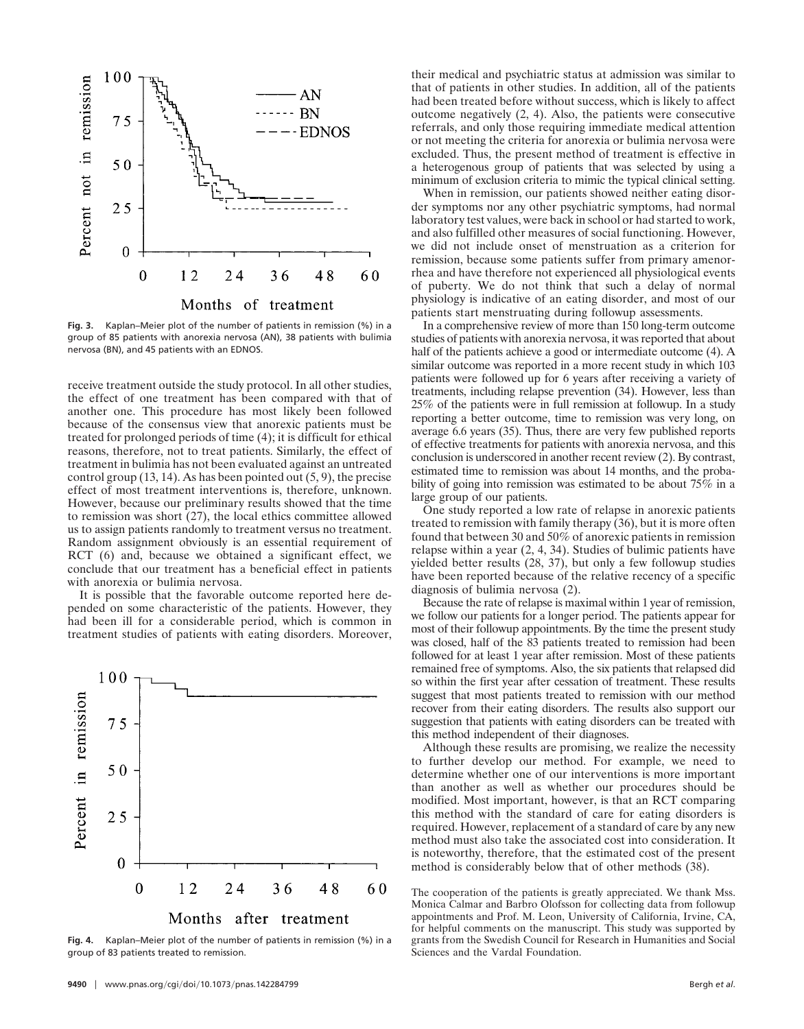

**Fig. 3.** Kaplan–Meier plot of the number of patients in remission (%) in a group of 85 patients with anorexia nervosa (AN), 38 patients with bulimia nervosa (BN), and 45 patients with an EDNOS.

receive treatment outside the study protocol. In all other studies, the effect of one treatment has been compared with that of another one. This procedure has most likely been followed because of the consensus view that anorexic patients must be treated for prolonged periods of time (4); it is difficult for ethical reasons, therefore, not to treat patients. Similarly, the effect of treatment in bulimia has not been evaluated against an untreated control group  $(13, 14)$ . As has been pointed out  $(5, 9)$ , the precise effect of most treatment interventions is, therefore, unknown. However, because our preliminary results showed that the time to remission was short (27), the local ethics committee allowed us to assign patients randomly to treatment versus no treatment. Random assignment obviously is an essential requirement of RCT (6) and, because we obtained a significant effect, we conclude that our treatment has a beneficial effect in patients with anorexia or bulimia nervosa.

It is possible that the favorable outcome reported here depended on some characteristic of the patients. However, they had been ill for a considerable period, which is common in treatment studies of patients with eating disorders. Moreover,



**Fig. 4.** Kaplan–Meier plot of the number of patients in remission (%) in a group of 83 patients treated to remission.

their medical and psychiatric status at admission was similar to that of patients in other studies. In addition, all of the patients had been treated before without success, which is likely to affect outcome negatively (2, 4). Also, the patients were consecutive referrals, and only those requiring immediate medical attention or not meeting the criteria for anorexia or bulimia nervosa were excluded. Thus, the present method of treatment is effective in a heterogenous group of patients that was selected by using a minimum of exclusion criteria to mimic the typical clinical setting.

When in remission, our patients showed neither eating disorder symptoms nor any other psychiatric symptoms, had normal laboratory test values, were back in school or had started to work, and also fulfilled other measures of social functioning. However, we did not include onset of menstruation as a criterion for remission, because some patients suffer from primary amenorrhea and have therefore not experienced all physiological events of puberty. We do not think that such a delay of normal physiology is indicative of an eating disorder, and most of our patients start menstruating during followup assessments.

In a comprehensive review of more than 150 long-term outcome studies of patients with anorexia nervosa, it was reported that about half of the patients achieve a good or intermediate outcome (4). A similar outcome was reported in a more recent study in which 103 patients were followed up for 6 years after receiving a variety of treatments, including relapse prevention (34). However, less than 25% of the patients were in full remission at followup. In a study reporting a better outcome, time to remission was very long, on average 6.6 years (35). Thus, there are very few published reports of effective treatments for patients with anorexia nervosa, and this conclusion is underscored in another recent review (2). By contrast, estimated time to remission was about 14 months, and the probability of going into remission was estimated to be about 75% in a large group of our patients.

One study reported a low rate of relapse in anorexic patients treated to remission with family therapy (36), but it is more often found that between 30 and 50% of anorexic patients in remission relapse within a year (2, 4, 34). Studies of bulimic patients have yielded better results (28, 37), but only a few followup studies have been reported because of the relative recency of a specific diagnosis of bulimia nervosa (2).

Because the rate of relapse is maximal within 1 year of remission, we follow our patients for a longer period. The patients appear for most of their followup appointments. By the time the present study was closed, half of the 83 patients treated to remission had been followed for at least 1 year after remission. Most of these patients remained free of symptoms. Also, the six patients that relapsed did so within the first year after cessation of treatment. These results suggest that most patients treated to remission with our method recover from their eating disorders. The results also support our suggestion that patients with eating disorders can be treated with this method independent of their diagnoses.

Although these results are promising, we realize the necessity to further develop our method. For example, we need to determine whether one of our interventions is more important than another as well as whether our procedures should be modified. Most important, however, is that an RCT comparing this method with the standard of care for eating disorders is required. However, replacement of a standard of care by any new method must also take the associated cost into consideration. It is noteworthy, therefore, that the estimated cost of the present method is considerably below that of other methods (38).

The cooperation of the patients is greatly appreciated. We thank Mss. Monica Calmar and Barbro Olofsson for collecting data from followup appointments and Prof. M. Leon, University of California, Irvine, CA, for helpful comments on the manuscript. This study was supported by grants from the Swedish Council for Research in Humanities and Social Sciences and the Vardal Foundation.